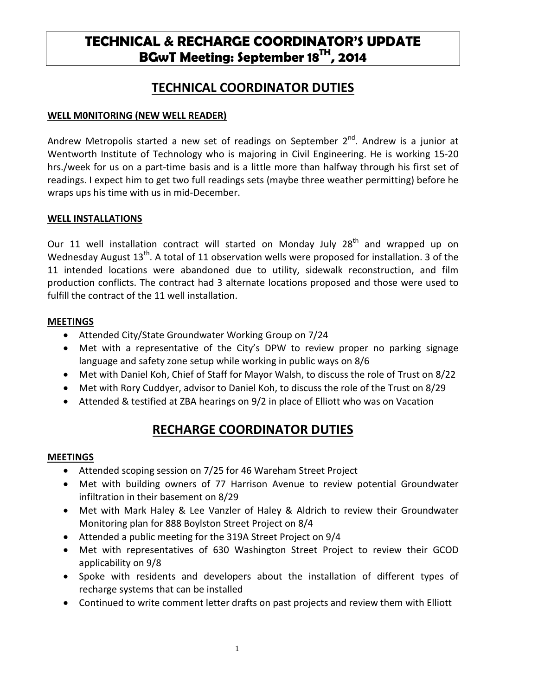# **TECHNICAL & RECHARGE COORDINATOR'S UPDATE BGwT Meeting: September 18TH, 2014**

## **TECHNICAL COORDINATOR DUTIES**

### **WELL M0NITORING (NEW WELL READER)**

Andrew Metropolis started a new set of readings on September  $2^{nd}$ . Andrew is a junior at Wentworth Institute of Technology who is majoring in Civil Engineering. He is working 15-20 hrs./week for us on a part-time basis and is a little more than halfway through his first set of readings. I expect him to get two full readings sets (maybe three weather permitting) before he wraps ups his time with us in mid-December.

#### **WELL INSTALLATIONS**

Our 11 well installation contract will started on Monday July  $28<sup>th</sup>$  and wrapped up on Wednesday August  $13<sup>th</sup>$ . A total of 11 observation wells were proposed for installation. 3 of the 11 intended locations were abandoned due to utility, sidewalk reconstruction, and film production conflicts. The contract had 3 alternate locations proposed and those were used to fulfill the contract of the 11 well installation.

#### **MEETINGS**

- Attended City/State Groundwater Working Group on 7/24
- Met with a representative of the City's DPW to review proper no parking signage language and safety zone setup while working in public ways on 8/6
- Met with Daniel Koh, Chief of Staff for Mayor Walsh, to discuss the role of Trust on 8/22
- Met with Rory Cuddyer, advisor to Daniel Koh, to discuss the role of the Trust on 8/29
- Attended & testified at ZBA hearings on 9/2 in place of Elliott who was on Vacation

# **RECHARGE COORDINATOR DUTIES**

#### **MEETINGS**

- Attended scoping session on 7/25 for 46 Wareham Street Project
- Met with building owners of 77 Harrison Avenue to review potential Groundwater infiltration in their basement on 8/29
- Met with Mark Haley & Lee Vanzler of Haley & Aldrich to review their Groundwater Monitoring plan for 888 Boylston Street Project on 8/4
- Attended a public meeting for the 319A Street Project on 9/4
- Met with representatives of 630 Washington Street Project to review their GCOD applicability on 9/8
- Spoke with residents and developers about the installation of different types of recharge systems that can be installed
- Continued to write comment letter drafts on past projects and review them with Elliott